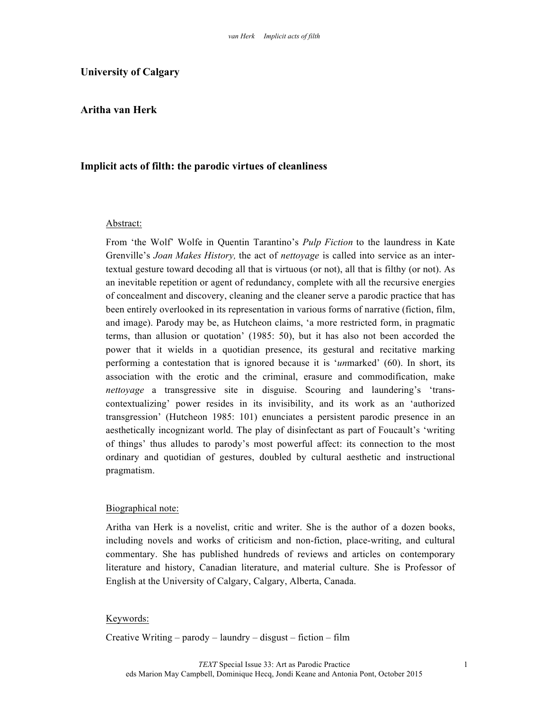### **University of Calgary**

# **Aritha van Herk**

#### **Implicit acts of filth: the parodic virtues of cleanliness**

#### Abstract:

From 'the Wolf' Wolfe in Quentin Tarantino's *Pulp Fiction* to the laundress in Kate Grenville's *Joan Makes History,* the act of *nettoyage* is called into service as an intertextual gesture toward decoding all that is virtuous (or not), all that is filthy (or not). As an inevitable repetition or agent of redundancy, complete with all the recursive energies of concealment and discovery, cleaning and the cleaner serve a parodic practice that has been entirely overlooked in its representation in various forms of narrative (fiction, film, and image). Parody may be, as Hutcheon claims, 'a more restricted form, in pragmatic terms, than allusion or quotation' (1985: 50), but it has also not been accorded the power that it wields in a quotidian presence, its gestural and recitative marking performing a contestation that is ignored because it is '*un*marked' (60). In short, its association with the erotic and the criminal, erasure and commodification, make *nettoyage* a transgressive site in disguise. Scouring and laundering's 'transcontextualizing' power resides in its invisibility, and its work as an 'authorized transgression' (Hutcheon 1985: 101) enunciates a persistent parodic presence in an aesthetically incognizant world. The play of disinfectant as part of Foucault's 'writing of things' thus alludes to parody's most powerful affect: its connection to the most ordinary and quotidian of gestures, doubled by cultural aesthetic and instructional pragmatism.

#### Biographical note:

Aritha van Herk is a novelist, critic and writer. She is the author of a dozen books, including novels and works of criticism and non-fiction, place-writing, and cultural commentary. She has published hundreds of reviews and articles on contemporary literature and history, Canadian literature, and material culture. She is Professor of English at the University of Calgary, Calgary, Alberta, Canada.

#### Keywords:

Creative Writing – parody – laundry – disgust – fiction – film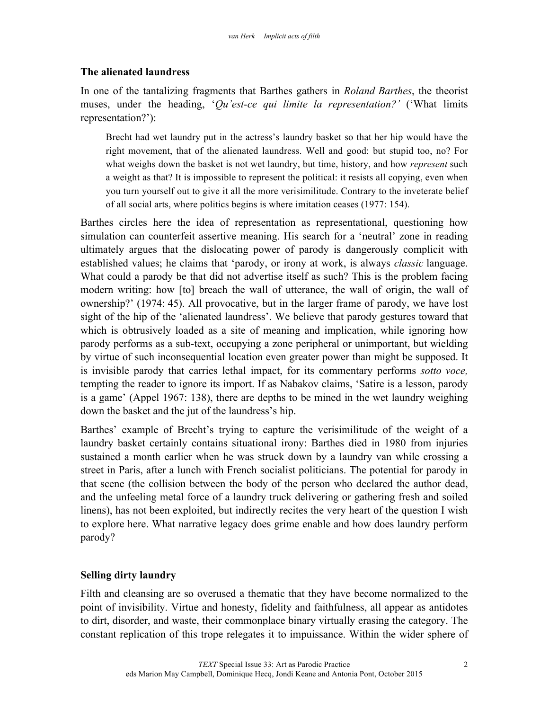# **The alienated laundress**

In one of the tantalizing fragments that Barthes gathers in *Roland Barthes*, the theorist muses, under the heading, '*Qu'est-ce qui limite la representation?'* ('What limits representation?'):

Brecht had wet laundry put in the actress's laundry basket so that her hip would have the right movement, that of the alienated laundress. Well and good: but stupid too, no? For what weighs down the basket is not wet laundry, but time, history, and how *represent* such a weight as that? It is impossible to represent the political: it resists all copying, even when you turn yourself out to give it all the more verisimilitude. Contrary to the inveterate belief of all social arts, where politics begins is where imitation ceases (1977: 154).

Barthes circles here the idea of representation as representational, questioning how simulation can counterfeit assertive meaning. His search for a 'neutral' zone in reading ultimately argues that the dislocating power of parody is dangerously complicit with established values; he claims that 'parody, or irony at work, is always *classic* language. What could a parody be that did not advertise itself as such? This is the problem facing modern writing: how [to] breach the wall of utterance, the wall of origin, the wall of ownership?' (1974: 45). All provocative, but in the larger frame of parody, we have lost sight of the hip of the 'alienated laundress'. We believe that parody gestures toward that which is obtrusively loaded as a site of meaning and implication, while ignoring how parody performs as a sub-text, occupying a zone peripheral or unimportant, but wielding by virtue of such inconsequential location even greater power than might be supposed. It is invisible parody that carries lethal impact, for its commentary performs *sotto voce,* tempting the reader to ignore its import. If as Nabakov claims, 'Satire is a lesson, parody is a game' (Appel 1967: 138), there are depths to be mined in the wet laundry weighing down the basket and the jut of the laundress's hip.

Barthes' example of Brecht's trying to capture the verisimilitude of the weight of a laundry basket certainly contains situational irony: Barthes died in 1980 from injuries sustained a month earlier when he was struck down by a laundry van while crossing a street in Paris, after a lunch with French socialist politicians. The potential for parody in that scene (the collision between the body of the person who declared the author dead, and the unfeeling metal force of a laundry truck delivering or gathering fresh and soiled linens), has not been exploited, but indirectly recites the very heart of the question I wish to explore here. What narrative legacy does grime enable and how does laundry perform parody?

# **Selling dirty laundry**

Filth and cleansing are so overused a thematic that they have become normalized to the point of invisibility. Virtue and honesty, fidelity and faithfulness, all appear as antidotes to dirt, disorder, and waste, their commonplace binary virtually erasing the category. The constant replication of this trope relegates it to impuissance. Within the wider sphere of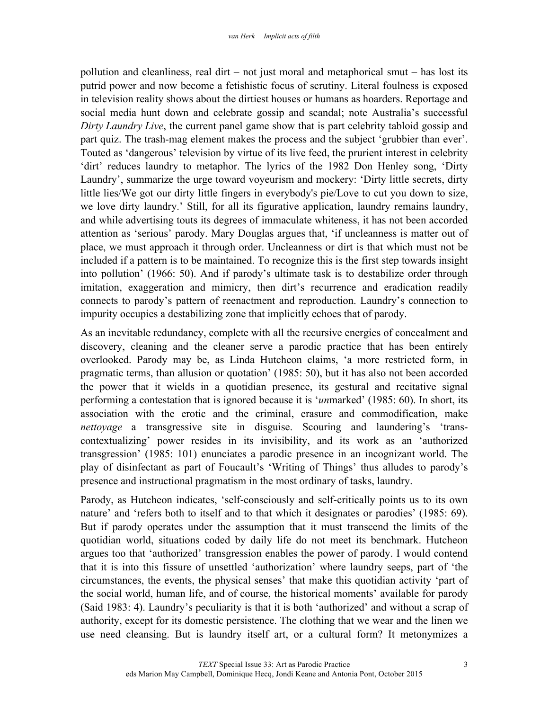pollution and cleanliness, real dirt – not just moral and metaphorical smut – has lost its putrid power and now become a fetishistic focus of scrutiny. Literal foulness is exposed in television reality shows about the dirtiest houses or humans as hoarders. Reportage and social media hunt down and celebrate gossip and scandal; note Australia's successful *Dirty Laundry Live*, the current panel game show that is part celebrity tabloid gossip and part quiz. The trash-mag element makes the process and the subject 'grubbier than ever'. Touted as 'dangerous' television by virtue of its live feed, the prurient interest in celebrity 'dirt' reduces laundry to metaphor. The lyrics of the 1982 Don Henley song, 'Dirty Laundry', summarize the urge toward voyeurism and mockery: 'Dirty little secrets, dirty little lies/We got our dirty little fingers in everybody's pie/Love to cut you down to size, we love dirty laundry.' Still, for all its figurative application, laundry remains laundry, and while advertising touts its degrees of immaculate whiteness, it has not been accorded attention as 'serious' parody. Mary Douglas argues that, 'if uncleanness is matter out of place, we must approach it through order. Uncleanness or dirt is that which must not be included if a pattern is to be maintained. To recognize this is the first step towards insight into pollution' (1966: 50). And if parody's ultimate task is to destabilize order through imitation, exaggeration and mimicry, then dirt's recurrence and eradication readily connects to parody's pattern of reenactment and reproduction. Laundry's connection to impurity occupies a destabilizing zone that implicitly echoes that of parody.

As an inevitable redundancy, complete with all the recursive energies of concealment and discovery, cleaning and the cleaner serve a parodic practice that has been entirely overlooked. Parody may be, as Linda Hutcheon claims, 'a more restricted form, in pragmatic terms, than allusion or quotation' (1985: 50), but it has also not been accorded the power that it wields in a quotidian presence, its gestural and recitative signal performing a contestation that is ignored because it is '*un*marked' (1985: 60). In short, its association with the erotic and the criminal, erasure and commodification, make *nettoyage* a transgressive site in disguise. Scouring and laundering's 'transcontextualizing' power resides in its invisibility, and its work as an 'authorized transgression' (1985: 101) enunciates a parodic presence in an incognizant world. The play of disinfectant as part of Foucault's 'Writing of Things' thus alludes to parody's presence and instructional pragmatism in the most ordinary of tasks, laundry.

Parody, as Hutcheon indicates, 'self-consciously and self-critically points us to its own nature' and 'refers both to itself and to that which it designates or parodies' (1985: 69). But if parody operates under the assumption that it must transcend the limits of the quotidian world, situations coded by daily life do not meet its benchmark. Hutcheon argues too that 'authorized' transgression enables the power of parody. I would contend that it is into this fissure of unsettled 'authorization' where laundry seeps, part of 'the circumstances, the events, the physical senses' that make this quotidian activity 'part of the social world, human life, and of course, the historical moments' available for parody (Said 1983: 4). Laundry's peculiarity is that it is both 'authorized' and without a scrap of authority, except for its domestic persistence. The clothing that we wear and the linen we use need cleansing. But is laundry itself art, or a cultural form? It metonymizes a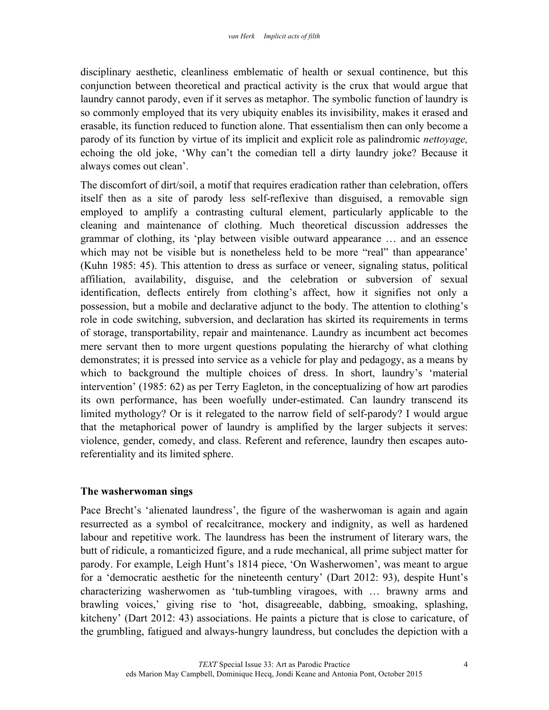disciplinary aesthetic, cleanliness emblematic of health or sexual continence, but this conjunction between theoretical and practical activity is the crux that would argue that laundry cannot parody, even if it serves as metaphor. The symbolic function of laundry is so commonly employed that its very ubiquity enables its invisibility, makes it erased and erasable, its function reduced to function alone. That essentialism then can only become a parody of its function by virtue of its implicit and explicit role as palindromic *nettoyage,* echoing the old joke, 'Why can't the comedian tell a dirty laundry joke? Because it always comes out clean'.

The discomfort of dirt/soil, a motif that requires eradication rather than celebration, offers itself then as a site of parody less self-reflexive than disguised, a removable sign employed to amplify a contrasting cultural element, particularly applicable to the cleaning and maintenance of clothing. Much theoretical discussion addresses the grammar of clothing, its 'play between visible outward appearance … and an essence which may not be visible but is nonetheless held to be more "real" than appearance' (Kuhn 1985: 45). This attention to dress as surface or veneer, signaling status, political affiliation, availability, disguise, and the celebration or subversion of sexual identification, deflects entirely from clothing's affect, how it signifies not only a possession, but a mobile and declarative adjunct to the body. The attention to clothing's role in code switching, subversion, and declaration has skirted its requirements in terms of storage, transportability, repair and maintenance. Laundry as incumbent act becomes mere servant then to more urgent questions populating the hierarchy of what clothing demonstrates; it is pressed into service as a vehicle for play and pedagogy, as a means by which to background the multiple choices of dress. In short, laundry's 'material intervention' (1985: 62) as per Terry Eagleton, in the conceptualizing of how art parodies its own performance, has been woefully under-estimated. Can laundry transcend its limited mythology? Or is it relegated to the narrow field of self-parody? I would argue that the metaphorical power of laundry is amplified by the larger subjects it serves: violence, gender, comedy, and class. Referent and reference, laundry then escapes autoreferentiality and its limited sphere.

# **The washerwoman sings**

Pace Brecht's 'alienated laundress', the figure of the washerwoman is again and again resurrected as a symbol of recalcitrance, mockery and indignity, as well as hardened labour and repetitive work. The laundress has been the instrument of literary wars, the butt of ridicule, a romanticized figure, and a rude mechanical, all prime subject matter for parody. For example, Leigh Hunt's 1814 piece, 'On Washerwomen', was meant to argue for a 'democratic aesthetic for the nineteenth century' (Dart 2012: 93), despite Hunt's characterizing washerwomen as 'tub-tumbling viragoes, with … brawny arms and brawling voices,' giving rise to 'hot, disagreeable, dabbing, smoaking, splashing, kitcheny' (Dart 2012: 43) associations. He paints a picture that is close to caricature, of the grumbling, fatigued and always-hungry laundress, but concludes the depiction with a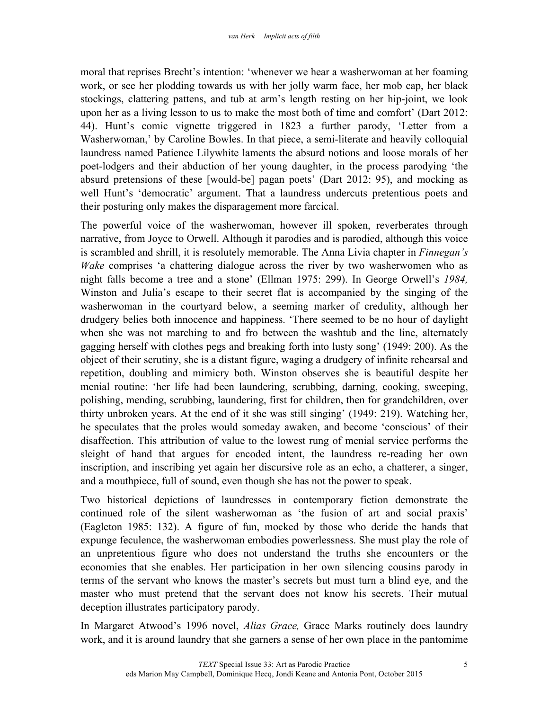moral that reprises Brecht's intention: 'whenever we hear a washerwoman at her foaming work, or see her plodding towards us with her jolly warm face, her mob cap, her black stockings, clattering pattens, and tub at arm's length resting on her hip-joint, we look upon her as a living lesson to us to make the most both of time and comfort' (Dart 2012: 44). Hunt's comic vignette triggered in 1823 a further parody, 'Letter from a Washerwoman,' by Caroline Bowles. In that piece, a semi-literate and heavily colloquial laundress named Patience Lilywhite laments the absurd notions and loose morals of her poet-lodgers and their abduction of her young daughter, in the process parodying 'the absurd pretensions of these [would-be] pagan poets' (Dart 2012: 95), and mocking as well Hunt's 'democratic' argument. That a laundress undercuts pretentious poets and their posturing only makes the disparagement more farcical.

The powerful voice of the washerwoman, however ill spoken, reverberates through narrative, from Joyce to Orwell. Although it parodies and is parodied, although this voice is scrambled and shrill, it is resolutely memorable. The Anna Livia chapter in *Finnegan's Wake* comprises 'a chattering dialogue across the river by two washerwomen who as night falls become a tree and a stone' (Ellman 1975: 299). In George Orwell's *1984,* Winston and Julia's escape to their secret flat is accompanied by the singing of the washerwoman in the courtyard below, a seeming marker of credulity, although her drudgery belies both innocence and happiness. 'There seemed to be no hour of daylight when she was not marching to and fro between the washtub and the line, alternately gagging herself with clothes pegs and breaking forth into lusty song' (1949: 200). As the object of their scrutiny, she is a distant figure, waging a drudgery of infinite rehearsal and repetition, doubling and mimicry both. Winston observes she is beautiful despite her menial routine: 'her life had been laundering, scrubbing, darning, cooking, sweeping, polishing, mending, scrubbing, laundering, first for children, then for grandchildren, over thirty unbroken years. At the end of it she was still singing' (1949: 219). Watching her, he speculates that the proles would someday awaken, and become 'conscious' of their disaffection. This attribution of value to the lowest rung of menial service performs the sleight of hand that argues for encoded intent, the laundress re-reading her own inscription, and inscribing yet again her discursive role as an echo, a chatterer, a singer, and a mouthpiece, full of sound, even though she has not the power to speak.

Two historical depictions of laundresses in contemporary fiction demonstrate the continued role of the silent washerwoman as 'the fusion of art and social praxis' (Eagleton 1985: 132). A figure of fun, mocked by those who deride the hands that expunge feculence, the washerwoman embodies powerlessness. She must play the role of an unpretentious figure who does not understand the truths she encounters or the economies that she enables. Her participation in her own silencing cousins parody in terms of the servant who knows the master's secrets but must turn a blind eye, and the master who must pretend that the servant does not know his secrets. Their mutual deception illustrates participatory parody.

In Margaret Atwood's 1996 novel, *Alias Grace,* Grace Marks routinely does laundry work, and it is around laundry that she garners a sense of her own place in the pantomime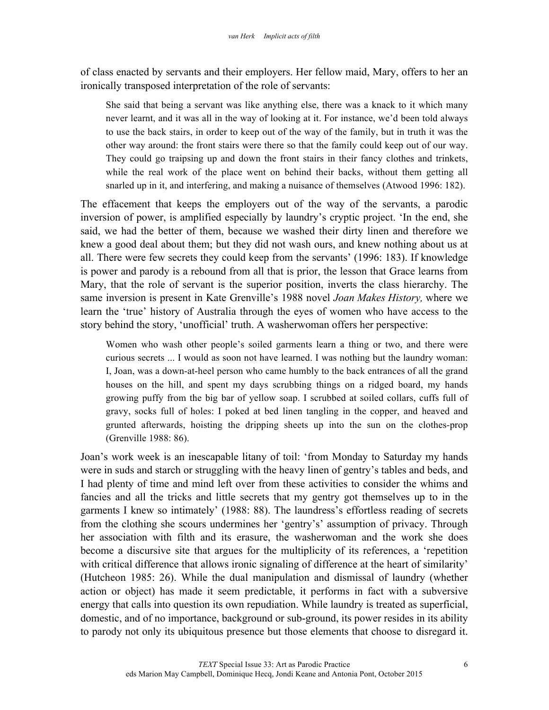of class enacted by servants and their employers. Her fellow maid, Mary, offers to her an ironically transposed interpretation of the role of servants:

She said that being a servant was like anything else, there was a knack to it which many never learnt, and it was all in the way of looking at it. For instance, we'd been told always to use the back stairs, in order to keep out of the way of the family, but in truth it was the other way around: the front stairs were there so that the family could keep out of our way. They could go traipsing up and down the front stairs in their fancy clothes and trinkets, while the real work of the place went on behind their backs, without them getting all snarled up in it, and interfering, and making a nuisance of themselves (Atwood 1996: 182).

The effacement that keeps the employers out of the way of the servants, a parodic inversion of power, is amplified especially by laundry's cryptic project. 'In the end, she said, we had the better of them, because we washed their dirty linen and therefore we knew a good deal about them; but they did not wash ours, and knew nothing about us at all. There were few secrets they could keep from the servants' (1996: 183). If knowledge is power and parody is a rebound from all that is prior, the lesson that Grace learns from Mary, that the role of servant is the superior position, inverts the class hierarchy. The same inversion is present in Kate Grenville's 1988 novel *Joan Makes History,* where we learn the 'true' history of Australia through the eyes of women who have access to the story behind the story, 'unofficial' truth. A washerwoman offers her perspective:

Women who wash other people's soiled garments learn a thing or two, and there were curious secrets ... I would as soon not have learned. I was nothing but the laundry woman: I, Joan, was a down-at-heel person who came humbly to the back entrances of all the grand houses on the hill, and spent my days scrubbing things on a ridged board, my hands growing puffy from the big bar of yellow soap. I scrubbed at soiled collars, cuffs full of gravy, socks full of holes: I poked at bed linen tangling in the copper, and heaved and grunted afterwards, hoisting the dripping sheets up into the sun on the clothes-prop (Grenville 1988: 86).

Joan's work week is an inescapable litany of toil: 'from Monday to Saturday my hands were in suds and starch or struggling with the heavy linen of gentry's tables and beds, and I had plenty of time and mind left over from these activities to consider the whims and fancies and all the tricks and little secrets that my gentry got themselves up to in the garments I knew so intimately' (1988: 88). The laundress's effortless reading of secrets from the clothing she scours undermines her 'gentry's' assumption of privacy. Through her association with filth and its erasure, the washerwoman and the work she does become a discursive site that argues for the multiplicity of its references, a 'repetition with critical difference that allows ironic signaling of difference at the heart of similarity' (Hutcheon 1985: 26). While the dual manipulation and dismissal of laundry (whether action or object) has made it seem predictable, it performs in fact with a subversive energy that calls into question its own repudiation. While laundry is treated as superficial, domestic, and of no importance, background or sub-ground, its power resides in its ability to parody not only its ubiquitous presence but those elements that choose to disregard it.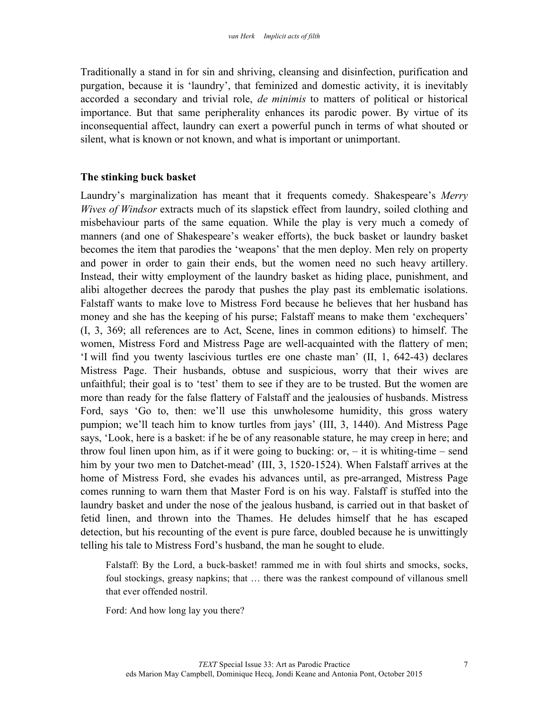Traditionally a stand in for sin and shriving, cleansing and disinfection, purification and purgation, because it is 'laundry', that feminized and domestic activity, it is inevitably accorded a secondary and trivial role, *de minimis* to matters of political or historical importance. But that same peripherality enhances its parodic power. By virtue of its inconsequential affect, laundry can exert a powerful punch in terms of what shouted or silent, what is known or not known, and what is important or unimportant.

# **The stinking buck basket**

Laundry's marginalization has meant that it frequents comedy. Shakespeare's *Merry Wives of Windsor* extracts much of its slapstick effect from laundry, soiled clothing and misbehaviour parts of the same equation. While the play is very much a comedy of manners (and one of Shakespeare's weaker efforts), the buck basket or laundry basket becomes the item that parodies the 'weapons' that the men deploy. Men rely on property and power in order to gain their ends, but the women need no such heavy artillery. Instead, their witty employment of the laundry basket as hiding place, punishment, and alibi altogether decrees the parody that pushes the play past its emblematic isolations. Falstaff wants to make love to Mistress Ford because he believes that her husband has money and she has the keeping of his purse; Falstaff means to make them 'exchequers' (I, 3, 369; all references are to Act, Scene, lines in common editions) to himself. The women, Mistress Ford and Mistress Page are well-acquainted with the flattery of men; 'I will find you twenty lascivious turtles ere one chaste man' (II, 1, 642-43) declares Mistress Page. Their husbands, obtuse and suspicious, worry that their wives are unfaithful; their goal is to 'test' them to see if they are to be trusted. But the women are more than ready for the false flattery of Falstaff and the jealousies of husbands. Mistress Ford, says 'Go to, then: we'll use this unwholesome humidity, this gross watery pumpion; we'll teach him to know turtles from jays' (III, 3, 1440). And Mistress Page says, 'Look, here is a basket: if he be of any reasonable stature, he may creep in here; and throw foul linen upon him, as if it were going to bucking: or,  $-$  it is whiting-time  $-$  send him by your two men to Datchet-mead' (III, 3, 1520-1524). When Falstaff arrives at the home of Mistress Ford, she evades his advances until, as pre-arranged, Mistress Page comes running to warn them that Master Ford is on his way. Falstaff is stuffed into the laundry basket and under the nose of the jealous husband, is carried out in that basket of fetid linen, and thrown into the Thames. He deludes himself that he has escaped detection, but his recounting of the event is pure farce, doubled because he is unwittingly telling his tale to Mistress Ford's husband, the man he sought to elude.

Falstaff: By the Lord, a buck-basket! rammed me in with foul shirts and smocks, socks, foul stockings, greasy napkins; that … there was the rankest compound of villanous smell that ever offended nostril.

Ford: And how long lay you there?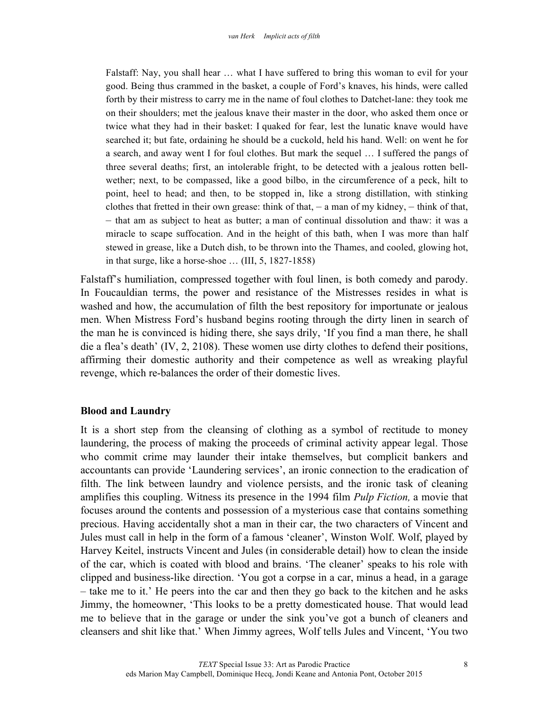Falstaff: Nay, you shall hear … what I have suffered to bring this woman to evil for your good. Being thus crammed in the basket, a couple of Ford's knaves, his hinds, were called forth by their mistress to carry me in the name of foul clothes to Datchet-lane: they took me on their shoulders; met the jealous knave their master in the door, who asked them once or twice what they had in their basket: I quaked for fear, lest the lunatic knave would have searched it; but fate, ordaining he should be a cuckold, held his hand. Well: on went he for a search, and away went I for foul clothes. But mark the sequel … I suffered the pangs of three several deaths; first, an intolerable fright, to be detected with a jealous rotten bellwether; next, to be compassed, like a good bilbo, in the circumference of a peck, hilt to point, heel to head; and then, to be stopped in, like a strong distillation, with stinking clothes that fretted in their own grease: think of that,  $-$  a man of my kidney,  $-$  think of that, – that am as subject to heat as butter; a man of continual dissolution and thaw: it was a miracle to scape suffocation. And in the height of this bath, when I was more than half stewed in grease, like a Dutch dish, to be thrown into the Thames, and cooled, glowing hot, in that surge, like a horse-shoe … (III, 5, 1827-1858)

Falstaff's humiliation, compressed together with foul linen, is both comedy and parody. In Foucauldian terms, the power and resistance of the Mistresses resides in what is washed and how, the accumulation of filth the best repository for importunate or jealous men. When Mistress Ford's husband begins rooting through the dirty linen in search of the man he is convinced is hiding there, she says drily, 'If you find a man there, he shall die a flea's death' (IV, 2, 2108). These women use dirty clothes to defend their positions, affirming their domestic authority and their competence as well as wreaking playful revenge, which re-balances the order of their domestic lives.

#### **Blood and Laundry**

It is a short step from the cleansing of clothing as a symbol of rectitude to money laundering, the process of making the proceeds of criminal activity appear legal. Those who commit crime may launder their intake themselves, but complicit bankers and accountants can provide 'Laundering services', an ironic connection to the eradication of filth. The link between laundry and violence persists, and the ironic task of cleaning amplifies this coupling. Witness its presence in the 1994 film *Pulp Fiction,* a movie that focuses around the contents and possession of a mysterious case that contains something precious. Having accidentally shot a man in their car, the two characters of Vincent and Jules must call in help in the form of a famous 'cleaner', Winston Wolf. Wolf, played by Harvey Keitel, instructs Vincent and Jules (in considerable detail) how to clean the inside of the car, which is coated with blood and brains. 'The cleaner' speaks to his role with clipped and business-like direction. 'You got a corpse in a car, minus a head, in a garage – take me to it.' He peers into the car and then they go back to the kitchen and he asks Jimmy, the homeowner, 'This looks to be a pretty domesticated house. That would lead me to believe that in the garage or under the sink you've got a bunch of cleaners and cleansers and shit like that.' When Jimmy agrees, Wolf tells Jules and Vincent, 'You two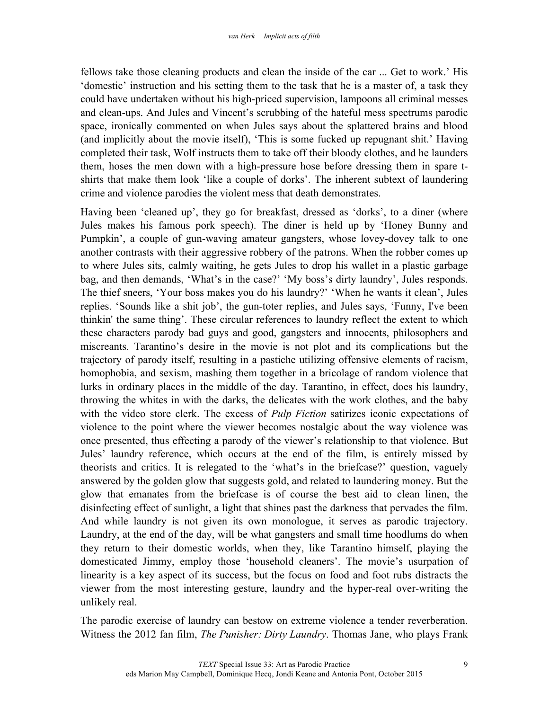fellows take those cleaning products and clean the inside of the car ... Get to work.' His 'domestic' instruction and his setting them to the task that he is a master of, a task they could have undertaken without his high-priced supervision, lampoons all criminal messes and clean-ups. And Jules and Vincent's scrubbing of the hateful mess spectrums parodic space, ironically commented on when Jules says about the splattered brains and blood (and implicitly about the movie itself), 'This is some fucked up repugnant shit.' Having completed their task, Wolf instructs them to take off their bloody clothes, and he launders them, hoses the men down with a high-pressure hose before dressing them in spare tshirts that make them look 'like a couple of dorks'. The inherent subtext of laundering crime and violence parodies the violent mess that death demonstrates.

Having been 'cleaned up', they go for breakfast, dressed as 'dorks', to a diner (where Jules makes his famous pork speech). The diner is held up by 'Honey Bunny and Pumpkin', a couple of gun-waving amateur gangsters, whose lovey-dovey talk to one another contrasts with their aggressive robbery of the patrons. When the robber comes up to where Jules sits, calmly waiting, he gets Jules to drop his wallet in a plastic garbage bag, and then demands, 'What's in the case?' 'My boss's dirty laundry', Jules responds. The thief sneers, 'Your boss makes you do his laundry?' 'When he wants it clean', Jules replies. 'Sounds like a shit job', the gun-toter replies, and Jules says, 'Funny, I've been thinkin' the same thing'. These circular references to laundry reflect the extent to which these characters parody bad guys and good, gangsters and innocents, philosophers and miscreants. Tarantino's desire in the movie is not plot and its complications but the trajectory of parody itself, resulting in a pastiche utilizing offensive elements of racism, homophobia, and sexism, mashing them together in a bricolage of random violence that lurks in ordinary places in the middle of the day. Tarantino, in effect, does his laundry, throwing the whites in with the darks, the delicates with the work clothes, and the baby with the video store clerk. The excess of *Pulp Fiction* satirizes iconic expectations of violence to the point where the viewer becomes nostalgic about the way violence was once presented, thus effecting a parody of the viewer's relationship to that violence. But Jules' laundry reference, which occurs at the end of the film, is entirely missed by theorists and critics. It is relegated to the 'what's in the briefcase?' question, vaguely answered by the golden glow that suggests gold, and related to laundering money. But the glow that emanates from the briefcase is of course the best aid to clean linen, the disinfecting effect of sunlight, a light that shines past the darkness that pervades the film. And while laundry is not given its own monologue, it serves as parodic trajectory. Laundry, at the end of the day, will be what gangsters and small time hoodlums do when they return to their domestic worlds, when they, like Tarantino himself, playing the domesticated Jimmy, employ those 'household cleaners'. The movie's usurpation of linearity is a key aspect of its success, but the focus on food and foot rubs distracts the viewer from the most interesting gesture, laundry and the hyper-real over-writing the unlikely real.

The parodic exercise of laundry can bestow on extreme violence a tender reverberation. Witness the 2012 fan film, *The Punisher: Dirty Laundry*. Thomas Jane, who plays Frank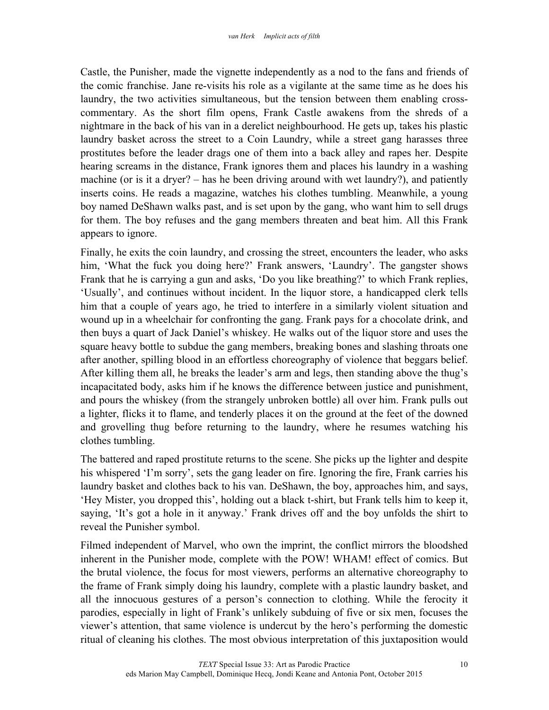Castle, the Punisher, made the vignette independently as a nod to the fans and friends of the comic franchise. Jane re-visits his role as a vigilante at the same time as he does his laundry, the two activities simultaneous, but the tension between them enabling crosscommentary. As the short film opens, Frank Castle awakens from the shreds of a nightmare in the back of his van in a derelict neighbourhood. He gets up, takes his plastic laundry basket across the street to a Coin Laundry, while a street gang harasses three prostitutes before the leader drags one of them into a back alley and rapes her. Despite hearing screams in the distance, Frank ignores them and places his laundry in a washing machine (or is it a dryer? – has he been driving around with wet laundry?), and patiently inserts coins. He reads a magazine, watches his clothes tumbling. Meanwhile, a young boy named DeShawn walks past, and is set upon by the gang, who want him to sell drugs for them. The boy refuses and the gang members threaten and beat him. All this Frank appears to ignore.

Finally, he exits the coin laundry, and crossing the street, encounters the leader, who asks him, 'What the fuck you doing here?' Frank answers, 'Laundry'. The gangster shows Frank that he is carrying a gun and asks, 'Do you like breathing?' to which Frank replies, 'Usually', and continues without incident. In the liquor store, a handicapped clerk tells him that a couple of years ago, he tried to interfere in a similarly violent situation and wound up in a wheelchair for confronting the gang. Frank pays for a chocolate drink, and then buys a quart of Jack Daniel's whiskey. He walks out of the liquor store and uses the square heavy bottle to subdue the gang members, breaking bones and slashing throats one after another, spilling blood in an effortless choreography of violence that beggars belief. After killing them all, he breaks the leader's arm and legs, then standing above the thug's incapacitated body, asks him if he knows the difference between justice and punishment, and pours the whiskey (from the strangely unbroken bottle) all over him. Frank pulls out a lighter, flicks it to flame, and tenderly places it on the ground at the feet of the downed and grovelling thug before returning to the laundry, where he resumes watching his clothes tumbling.

The battered and raped prostitute returns to the scene. She picks up the lighter and despite his whispered 'I'm sorry', sets the gang leader on fire. Ignoring the fire, Frank carries his laundry basket and clothes back to his van. DeShawn, the boy, approaches him, and says, 'Hey Mister, you dropped this', holding out a black t-shirt, but Frank tells him to keep it, saying, 'It's got a hole in it anyway.' Frank drives off and the boy unfolds the shirt to reveal the Punisher symbol.

Filmed independent of Marvel, who own the imprint, the conflict mirrors the bloodshed inherent in the Punisher mode, complete with the POW! WHAM! effect of comics. But the brutal violence, the focus for most viewers, performs an alternative choreography to the frame of Frank simply doing his laundry, complete with a plastic laundry basket, and all the innocuous gestures of a person's connection to clothing. While the ferocity it parodies, especially in light of Frank's unlikely subduing of five or six men, focuses the viewer's attention, that same violence is undercut by the hero's performing the domestic ritual of cleaning his clothes. The most obvious interpretation of this juxtaposition would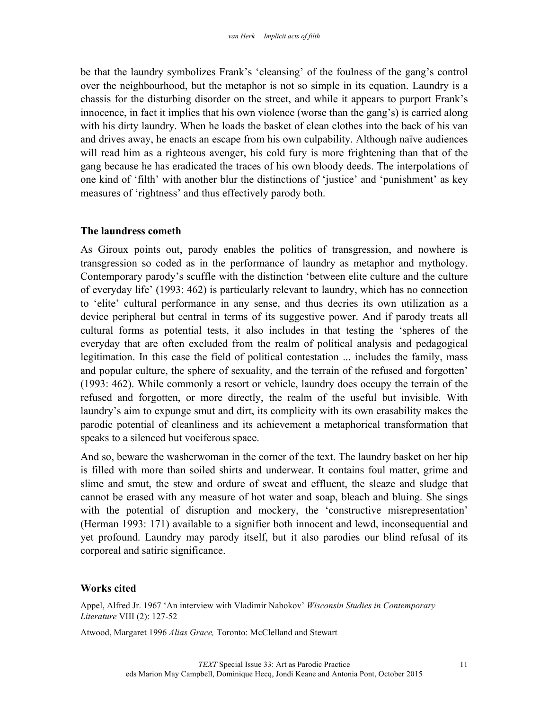be that the laundry symbolizes Frank's 'cleansing' of the foulness of the gang's control over the neighbourhood, but the metaphor is not so simple in its equation. Laundry is a chassis for the disturbing disorder on the street, and while it appears to purport Frank's innocence, in fact it implies that his own violence (worse than the gang's) is carried along with his dirty laundry. When he loads the basket of clean clothes into the back of his van and drives away, he enacts an escape from his own culpability. Although naïve audiences will read him as a righteous avenger, his cold fury is more frightening than that of the gang because he has eradicated the traces of his own bloody deeds. The interpolations of one kind of 'filth' with another blur the distinctions of 'justice' and 'punishment' as key measures of 'rightness' and thus effectively parody both.

# **The laundress cometh**

As Giroux points out, parody enables the politics of transgression, and nowhere is transgression so coded as in the performance of laundry as metaphor and mythology. Contemporary parody's scuffle with the distinction 'between elite culture and the culture of everyday life' (1993: 462) is particularly relevant to laundry, which has no connection to 'elite' cultural performance in any sense, and thus decries its own utilization as a device peripheral but central in terms of its suggestive power. And if parody treats all cultural forms as potential tests, it also includes in that testing the 'spheres of the everyday that are often excluded from the realm of political analysis and pedagogical legitimation. In this case the field of political contestation ... includes the family, mass and popular culture, the sphere of sexuality, and the terrain of the refused and forgotten' (1993: 462). While commonly a resort or vehicle, laundry does occupy the terrain of the refused and forgotten, or more directly, the realm of the useful but invisible. With laundry's aim to expunge smut and dirt, its complicity with its own erasability makes the parodic potential of cleanliness and its achievement a metaphorical transformation that speaks to a silenced but vociferous space.

And so, beware the washerwoman in the corner of the text. The laundry basket on her hip is filled with more than soiled shirts and underwear. It contains foul matter, grime and slime and smut, the stew and ordure of sweat and effluent, the sleaze and sludge that cannot be erased with any measure of hot water and soap, bleach and bluing. She sings with the potential of disruption and mockery, the 'constructive misrepresentation' (Herman 1993: 171) available to a signifier both innocent and lewd, inconsequential and yet profound. Laundry may parody itself, but it also parodies our blind refusal of its corporeal and satiric significance.

#### **Works cited**

Appel, Alfred Jr. 1967 'An interview with Vladimir Nabokov' *Wisconsin Studies in Contemporary Literature* VIII (2): 127-52

Atwood, Margaret 1996 *Alias Grace,* Toronto: McClelland and Stewart